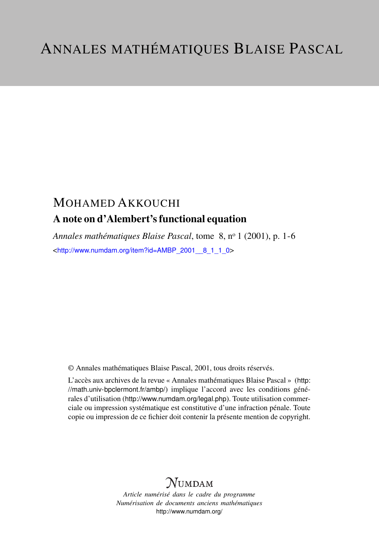# MOHAMED AKKOUCHI A note on d'Alembert's functional equation

*Annales mathématiques Blaise Pascal*, tome 8, n<sup>o</sup> 1 (2001), p. 1-6 <[http://www.numdam.org/item?id=AMBP\\_2001\\_\\_8\\_1\\_1\\_0](http://www.numdam.org/item?id=AMBP_2001__8_1_1_0)>

© Annales mathématiques Blaise Pascal, 2001, tous droits réservés.

L'accès aux archives de la revue « Annales mathématiques Blaise Pascal » ([http:](http://math.univ-bpclermont.fr/ambp/) [//math.univ-bpclermont.fr/ambp/](http://math.univ-bpclermont.fr/ambp/)) implique l'accord avec les conditions générales d'utilisation (<http://www.numdam.org/legal.php>). Toute utilisation commerciale ou impression systématique est constitutive d'une infraction pénale. Toute copie ou impression de ce fichier doit contenir la présente mention de copyright.

# **NUMDAM**

*Article numérisé dans le cadre du programme Numérisation de documents anciens mathématiques* <http://www.numdam.org/>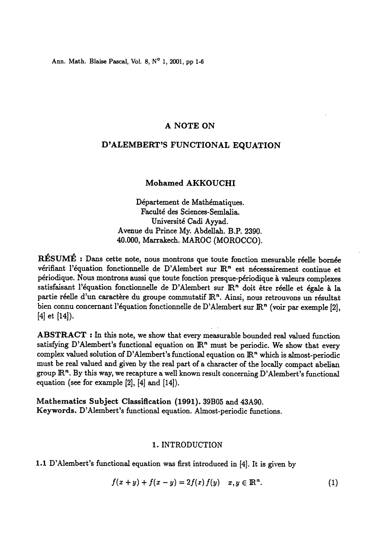Ann. Math. Blaise Pascal, Vol. 8, N° 1, 2001, pp 1-6

# A NOTE ON

## D'ALEMBERT'S FUNCTIONAL EQUATION

## Mohamed AKKOUCHI

Département de Mathématiques. Faculte des Sciences-Semlalia. Universite Cadi Ayyad. Avenue du Prince My. Abdellah. B.P. 2390. 40.000, Marrakech. MAROC (MOROCCO).

RÉSUMÉ : Dans cette note, nous montrons que toute fonction mesurable réelle bornée vérifiant l'équation fonctionnelle de D'Alembert sur  $\mathbb{R}^n$  est nécessairement continue et periodique. Nous montrons aussi que toute fonction presque-périodique a valeurs complexes satisfaisant l'équation fonctionnelle de D'Alembert sur  $\mathbb{R}^n$  doit être réelle et égale à la partie réelle d'un caractère du groupe commutatif  $\mathbb{R}^n$ . Ainsi, nous retrouvons un résultat bien connu concernant l'équation fonctionnelle de D'Alembert sur  $\mathbb{R}^n$  (voir par exemple [2],  $[4]$  et  $[14]$ ).

ABSTRACT : In this note, we show that every measurable bounded real valued function satisfying D'Alembert's functional equation on  $\mathbb{R}^n$  must be periodic. We show that every complex valued solution of D'Alembert's functional equation on  $\mathbb{R}^n$  which is almost-periodic must be real valued and given by the real part of a character of the locally compact abelian group  $\mathbb{R}^n$ . By this way, we recapture a well known result concerning D'Alembert's functional equation (see for example  $[2]$ ,  $[4]$  and  $[14]$ ).

Mathematics Subject Classification (1991). 39B05 and 43A90. Keywords. D'Alembert's functional equation. Almost-periodic functions.

### 1. INTRODUCTION

1.1 D'Alembert's functional equation was first introduced in  $[4]$ . It is given by

$$
f(x + y) + f(x - y) = 2f(x) f(y) \quad x, y \in \mathbb{R}^n.
$$
 (1)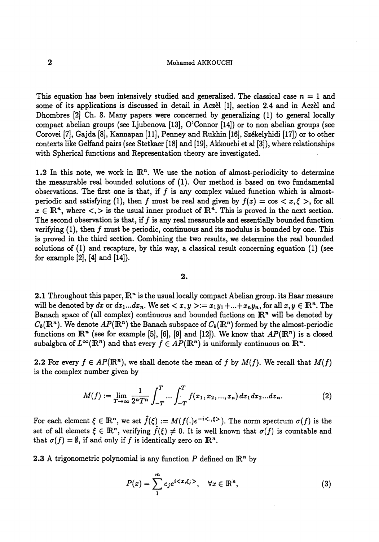#### Mohamed AKKOUCHI

This equation has been intensively studied and generalized. The classical case  $n = 1$  and some of its applications is discussed in detail in Aczèl [I], section 2.4 and in Aczèl and Dhombres [2] Ch. 8. Many papers were concerned by generalizing (1) to general locally compact abelian groups (see Ljubenova [13], O'Connor [14]) or to non abelian groups (see Corovei [7], Gajda [8], Kannapan [11], Penney and Rukhin [16], Székelyhidi [17]) or to other contexts like Gelfand pairs (see Stetkaer [18] and [19], Akkouchi et al [3]), where relationships with Spherical functions and Representation theory are investigated.

1.2 In this note, we work in  $\mathbb{R}^n$ . We use the notion of almost-periodicity to determine the measurable real bounded solutions of (1). Our method is based on two fundamental observations. The first one is that, if  $f$  is any complex valued function which is almostperiodic and satisfying (1), then f must be real and given by  $f(x) = \cos < x, \xi >$ , for all  $x \in \mathbb{R}^n$ , where  $\langle \cdot, \cdot \rangle$  is the usual inner product of  $\mathbb{R}^n$ . This is proved in the next section. The second observation is that, if  $f$  is any real measurable and essentially bounded function verifying (1), then f must be periodic, continuous and its modulus is bounded by one. This is proved in the third section. Combining the two results, we determine the real bounded solutions of (1) and recapture, by this way, a classical result concerning equation (1) (see for example  $[2]$ ,  $[4]$  and  $[14]$ .

2.

**2.1** Throughout this paper,  $\mathbb{R}^n$  is the usual locally compact Abelian group. its Haar measure will be denoted by dx or  $dx_1...dx_n$ . We set  $\langle x, y \rangle := x_1y_1 + ... + x_ny_n$ , for all  $x, y \in \mathbb{R}^n$ . The Banach space of (all complex) continuous and bounded fuctions on  $\mathbb{R}^n$  will be denoted by  $C_b(\mathbb{R}^n)$ . We denote  $AP(\mathbb{R}^n)$  the Banach subspace of  $C_b(\mathbb{R}^n)$  formed by the almost-periodic functions on  $\mathbb{R}^n$  (see for example [5], [6], [9] and [12]). We know that  $AP(\mathbb{R}^n)$  is a closed subalgbra of  $L^{\infty}(\mathbb{R}^n)$  and that every  $f \in AP(\mathbb{R}^n)$  is uniformly continuous on  $\mathbb{R}^n$ .

2.2 For every  $f \in AP(\mathbb{R}^n)$ , we shall denote the mean of f by  $M(f)$ . We recall that  $M(f)$ is the complex number given by

$$
M(f) := \lim_{T \to \infty} \frac{1}{2^n T^n} \int_{-T}^T \dots \int_{-T}^T f(x_1, x_2, \dots, x_n) \, dx_1 \, dx_2 \dots dx_n. \tag{2}
$$

For each element  $\xi \in \mathbb{R}^n$ , we set  $\hat{f}(\xi) := M(f(.e^{-i\langle \xi \rangle \cdot \xi \rangle))$ . The norm spectrum  $\sigma(f)$  is the set of all elemets  $\xi \in \mathbb{R}^n$ , verifying  $\hat{f}(\xi) \neq 0$ . It is well known that  $\sigma(f)$  is countable and that  $\sigma(f) = \emptyset$ , if and only if f is identically zero on  $\mathbb{R}^n$ .

**2.3** A trigonometric polynomial is any function P defined on  $\mathbb{R}^n$  by

$$
P(x) = \sum_{1}^{m} c_j e^{i\langle x, \xi_j \rangle}, \quad \forall x \in \mathbb{R}^n,
$$
 (3)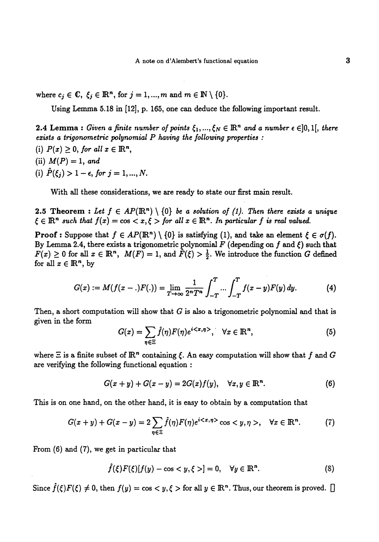where  $c_j \in \mathbb{C}, \xi_j \in \mathbb{R}^n$ , for  $j = 1, ..., m$  and  $m \in \mathbb{N} \setminus \{0\}.$ 

Using Lemma 5. 18 in (12] , p. 165, one can deduce the following important result.

**2.4 Lemma :** Given a finite number of points  $\xi_1, ..., \xi_N \in \mathbb{R}^n$  and a number  $\epsilon \in ]0,1[$ , there exists a trigonometric polynomial P having the following properties :

(i)  $P(x) \geq 0$ , for all  $x \in \mathbb{R}^n$ , (ii)  $M(P) = 1$ , and (i)  $\hat{P}(\xi_j) > 1 - \epsilon$ , for  $j = 1, ..., N$ .

With all these considerations, we are ready to state our first main result.

2.5 Theorem : Let  $f \in AP(\mathbb{R}^n) \setminus \{0\}$  be a solution of (1). Then there exists a unique  $\xi \in \mathbb{R}^n$  such that  $f(x) = \cos < x, \xi >$  for all  $x \in \mathbb{R}^n$ . In particular f is real valued.

**Proof**: Suppose that  $f \in AP(\mathbb{R}^n) \setminus \{0\}$  is satisfying (1), and take an element  $\xi \in \sigma(f)$ . By Lemma 2.4, there exists a trigonometric polynomial  $F$  (depending on  $f$  and  $\xi$ ) such that  $F(x) \ge 0$  for all  $x \in \mathbb{R}^n$ ,  $M(F) = 1$ , and  $\hat{F}(\xi) > \frac{1}{2}$ . We introduce the function G defined for all  $x \in \mathbb{R}^n$ , by

$$
G(x) := M(f(x - .)F(.)) = \lim_{T \to \infty} \frac{1}{2^n T^n} \int_{-T}^{T} ... \int_{-T}^{T} f(x - y) F(y) dy.
$$
 (4)

Then, a short computation will show that  $G$  is also a trigonometric polynomial and that is given in the form

$$
G(x) = \sum_{\eta \in \Xi} \hat{f}(\eta) F(\eta) e^{i \langle x, \eta \rangle}, \quad \forall x \in \mathbb{R}^n,
$$
 (5)

where  $\Xi$  is a finite subset of  $\mathbb{R}^n$  containing  $\xi$ . An easy computation will show that f and G are verifying the following functional equation :

$$
G(x+y)+G(x-y)=2G(x)f(y),\quad \forall x,y\in\mathbb{R}^n.
$$
 (6)

This is on one hand, on the other hand, it is easy to obtain by a computation that

$$
G(x+y)+G(x-y)=2\sum_{\eta\in\Xi}\hat{f}(\eta)F(\eta)e^{i\langle x,\eta\rangle}\cos\langle y,\eta\rangle,\quad\forall x\in\mathbb{R}^n.\tag{7}
$$

From (6) and (7), we get in particular that

$$
\hat{f}(\xi)F(\xi)[f(y) - \cos < y, \xi > ] = 0, \quad \forall y \in \mathbb{R}^n. \tag{8}
$$

Since  $\tilde{f}(\xi)F(\xi) \neq 0$ , then  $f(y) = \cos < y, \xi >$  for all  $y \in \mathbb{R}^n$ . Thus, our theorem is proved.  $\Box$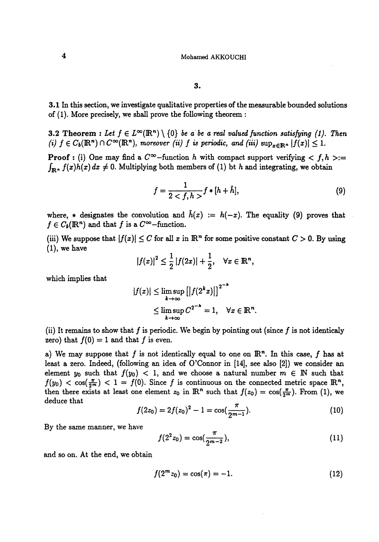3.1 In this section, we investigate qualitative properties of the measurable bounded solutions of (1). More precisely, we shall prove the following theorem :

**3.2 Theorem :** Let  $f \in L^{\infty}(\mathbb{R}^n) \setminus \{0\}$  be a be a real valued function satisfying (1). Then (i)  $f \in C_b(\mathbb{R}^n) \cap C^{\infty}(\mathbb{R}^n)$ , moreover (ii) f is periodic, and (iii)  $\sup_{x \in \mathbb{R}^n} |f(x)| \leq 1$ .

**Proof :** (i) One may find a  $C^{\infty}$ -function h with compact support verifying  $\lt f, h \gt :=$  $\int_{\mathbb{R}^n} f(x)h(x) dx \neq 0$ . Multiplying both members of (1) bt h and integrating, we obtain

$$
f = \frac{1}{2 \le f, h \ge f} * [h + \check{h}], \tag{9}
$$

where, \* designates the convolution and  $\dot{h}(x) := h(-x)$ . The equality (9) proves that  $f \in C_b(\mathbb{R}^n)$  and that f is a  $C^{\infty}$ -function.

(iii) We suppose that  $|f(x)| \leq C$  for all x in  $\mathbb{R}^n$  for some positive constant  $C > 0$ . By using  $(1)$ , we have

$$
|f(x)|^2 \leq \frac{1}{2}|f(2x)| + \frac{1}{2}, \quad \forall x \in \mathbb{R}^n,
$$

which implies that

$$
|f(x)| \leq \limsup_{k \to \infty} \left[ \left| f(2^k x) \right| \right]^{2^{-k}}
$$
  

$$
\leq \limsup_{k \to \infty} C^{2^{-k}} = 1, \quad \forall x \in \mathbb{R}^n.
$$

(ii) It remains to show that f is periodic. We begin by pointing out (since f is not identicaly zero) that  $f(0) = 1$  and that f is even.

a) We may suppose that f is not identically equal to one on  $\mathbb{R}^n$ . In this case, f has at least a zero. Indeed, (following an idea of O'Connor in [14j, see also [2]) we consider an element  $y_0$  such that  $f(y_0) < 1$ , and we choose a natural number  $m \in \mathbb{N}$  such that  $f(y_0) < \cos(\frac{\pi}{2m}) < 1 = f(0)$ . Since f is continuous on the connected metric space  $\mathbb{R}^n$ , then there exists at least one element  $z_0$  in  $\mathbb{R}^n$  such that  $f(z_0) = \cos(\frac{\pi}{2m})$ . From (1), we deduce that

$$
f(2z_0) = 2f(z_0)^2 - 1 = \cos(\frac{\pi}{2^{m-1}}). \tag{10}
$$

By the same manner, we have

$$
f(2^2z_0) = \cos(\frac{\pi}{2^{m-2}}),\tag{11}
$$

and so on. At the end, we obtain

$$
f(2^m z_0) = \cos(\pi) = -1.
$$
 (12)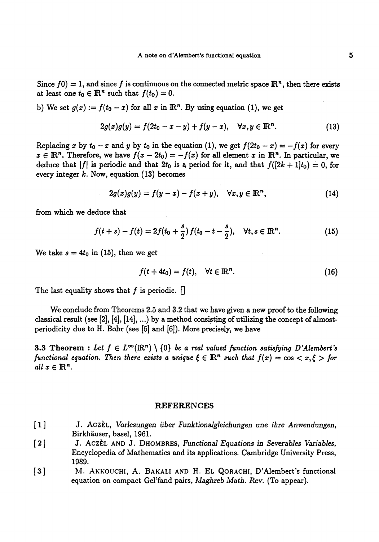Since  $f(0) = 1$ , and since f is continuous on the connected metric space  $\mathbb{R}^n$ , then there exists at least one  $t_0 \in \mathbb{R}^n$  such that  $f(t_0) = 0$ .

b) We set  $g(x) := f(t_0 - x)$  for all x in  $\mathbb{R}^n$ . By using equation (1), we get

$$
2g(x)g(y) = f(2t_0 - x - y) + f(y - x), \quad \forall x, y \in \mathbb{R}^n.
$$
 (13)

Replacing x by  $t_0 - x$  and y by  $t_0$  in the equation (1), we get  $f(2t_0 - x) = -f(x)$  for every  $x \in \mathbb{R}^n$ . Therefore, we have  $f(x - 2t_0) = -f(x)$  for all element x in  $\mathbb{R}^n$ . In particular, we deduce that  $|f|$  is periodic and that  $2t_0$  is a period for it, and that  $f([2k+1]t_0) = 0$ , for every integer  $k$ . Now, equation (13) becomes

$$
2g(x)g(y) = f(y-x) - f(x+y), \quad \forall x, y \in \mathbb{R}^n,
$$
 (14)

from which we deduce that

$$
f(t+s)-f(t)=2f(t_0+\frac{s}{2})f(t_0-t-\frac{s}{2}), \quad \forall t,s \in \mathbb{R}^n.
$$
 (15)

We take  $s = 4t_0$  in (15), then we get

$$
f(t+4t_0)=f(t), \quad \forall t \in \mathbb{R}^n.
$$
 (16)

The last equality shows that f is periodic.  $\Box$ 

We conclude from Theorems 2.5 and 3.2 that we have given a new proof to the following classical result (see [2], [4],  $[14]$ , ...) by a method consisting of utilizing the concept of almostperiodicity due to H. Bohr (see  $[5]$  and  $[6]$ ). More precisely, we have

3.3 Theorem : Let  $f \in L^{\infty}(\mathbb{R}^n) \setminus \{0\}$  be a real valued function satisfying D'Alembert's functional equation. Then there exists a unique  $\xi \in \mathbb{R}^n$  such that  $f(x) = \cos < x, \xi >$  for all  $x \in \mathbb{R}^n$ .

#### REFERENCES

- [1] J. ACZÈL, Vorlesungen über Funktionalgleichungen une ihre Anwendungen, Birkhäuser, basel, 1961.
- [2] J. ACZÈL AND J. DHOMBRES, Functional Equations in Severables Variables, Encyclopedia of Mathematics and its applications. Cambridge University Press, 1989.
- [3] M. AKKOUCHI, A. BAKALI AND H. EL QORACHI, D'Alembert's functional equation on compact Gel'fand pairs, Maghreb Math. Rev. (To appear).